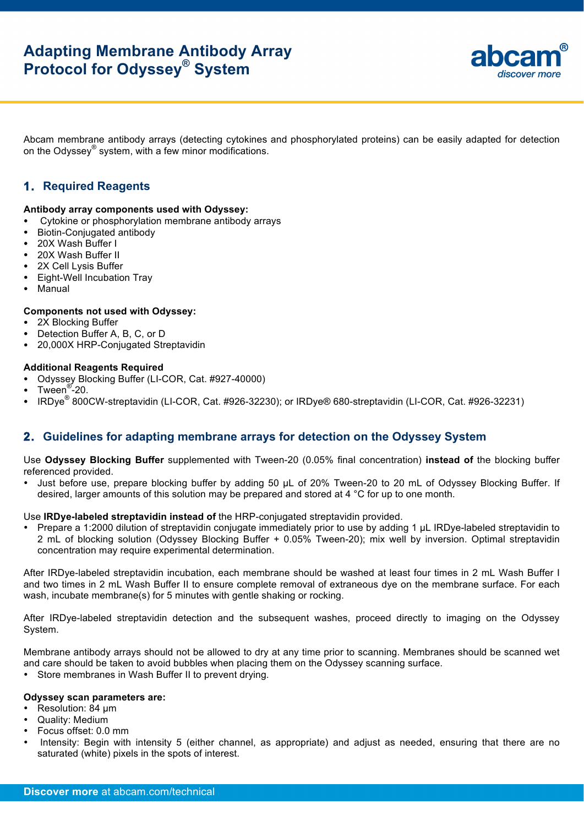

Abcam membrane antibody arrays (detecting cytokines and phosphorylated proteins) can be easily adapted for detection on the Odyssey® system, with a few minor modifications.

# **1. Required Reagents**

### **Antibody array components used with Odyssey:**

- Cytokine or phosphorylation membrane antibody arrays<br>• Biotin-Conjugated antibody
- Biotin-Conjugated antibody
- 20X Wash Buffer I
- 20X Wash Buffer II
- 2X Cell Lysis Buffer
- Eight-Well Incubation Tray
- Manual

### **Components not used with Odyssey:**

- 2X Blocking Buffer
- Detection Buffer A, B, C, or D
- 20,000X HRP-Conjugated Streptavidin

## **Additional Reagents Required**

- Odyssey Blocking Buffer (LI-COR, Cat. #927-40000)
- Tween<sup>®-20.</sup>
- IRDye® 800CW-streptavidin (LI-COR, Cat. #926-32230); or IRDye® 680-streptavidin (LI-COR, Cat. #926-32231)

## **2. Guidelines for adapting membrane arrays for detection on the Odyssey System**

Use **Odyssey Blocking Buffer** supplemented with Tween-20 (0.05% final concentration) **instead of** the blocking buffer referenced provided.

Just before use, prepare blocking buffer by adding 50 µL of 20% Tween-20 to 20 mL of Odyssey Blocking Buffer. If desired, larger amounts of this solution may be prepared and stored at 4 °C for up to one month.

### Use **IRDye-labeled streptavidin instead of** the HRP-conjugated streptavidin provided.

• Prepare a 1:2000 dilution of streptavidin conjugate immediately prior to use by adding 1 µL IRDye-labeled streptavidin to 2 mL of blocking solution (Odyssey Blocking Buffer + 0.05% Tween-20); mix well by inversion. Optimal streptavidin concentration may require experimental determination.

After IRDye-labeled streptavidin incubation, each membrane should be washed at least four times in 2 mL Wash Buffer I and two times in 2 mL Wash Buffer II to ensure complete removal of extraneous dye on the membrane surface. For each wash, incubate membrane(s) for 5 minutes with gentle shaking or rocking.

After IRDye-labeled streptavidin detection and the subsequent washes, proceed directly to imaging on the Odyssey System.

Membrane antibody arrays should not be allowed to dry at any time prior to scanning. Membranes should be scanned wet and care should be taken to avoid bubbles when placing them on the Odyssey scanning surface.

• Store membranes in Wash Buffer II to prevent drying.

#### **Odyssey scan parameters are:**

- Resolution: 84 µm
- Quality: Medium
- Focus offset: 0.0 mm
- Intensity: Begin with intensity 5 (either channel, as appropriate) and adjust as needed, ensuring that there are no saturated (white) pixels in the spots of interest.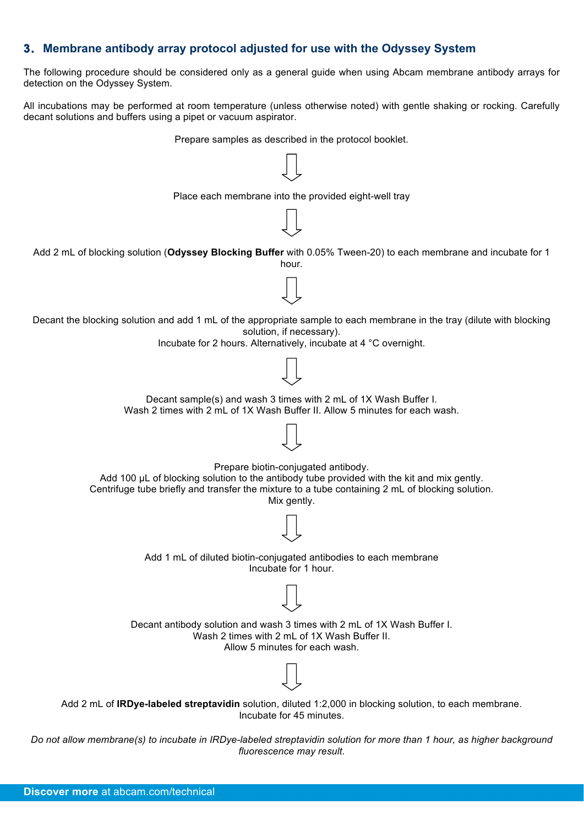# **3. Membrane antibody array protocol adjusted for use with the Odyssey System**

The following procedure should be considered only as a general guide when using Abcam membrane antibody arrays for detection on the Odyssey System.

All incubations may be performed at room temperature (unless otherwise noted) with gentle shaking or rocking. Carefully decant solutions and buffers using a pipet or vacuum aspirator.

Prepare samples as described in the protocol booklet.



*Do not allow membrane(s) to incubate in IRDye-labeled streptavidin solution for more than 1 hour, as higher background fluorescence may result*.